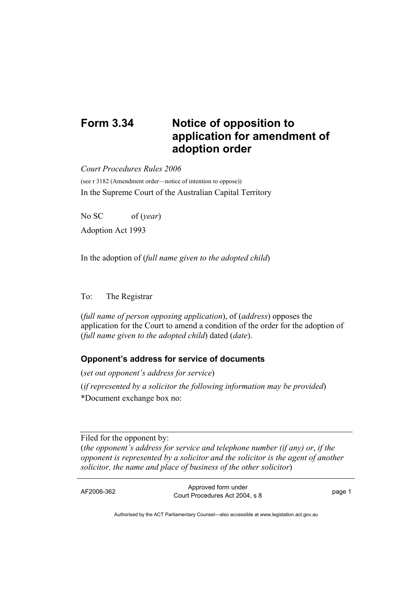## **Form 3.34 Notice of opposition to application for amendment of adoption order**

*Court Procedures Rules 2006* 

(see r 3182 (Amendment order—notice of intention to oppose)) In the Supreme Court of the Australian Capital Territory

No SC of (*year*) Adoption Act 1993

In the adoption of (*full name given to the adopted child*)

## To: The Registrar

(*full name of person opposing application*), of (*address*) opposes the application for the Court to amend a condition of the order for the adoption of (*full name given to the adopted child*) dated (*date*).

## **Opponent's address for service of documents**

(*set out opponent's address for service*) (*if represented by a solicitor the following information may be provided*) \*Document exchange box no:

Filed for the opponent by: (*the opponent's address for service and telephone number (if any) or*, *if the opponent is represented by a solicitor and the solicitor is the agent of another solicitor, the name and place of business of the other solicitor*)

AF2006-362 Approved form under Procedures Act 2004, s 8 page 1

Authorised by the ACT Parliamentary Counsel—also accessible at www.legislation.act.gov.au